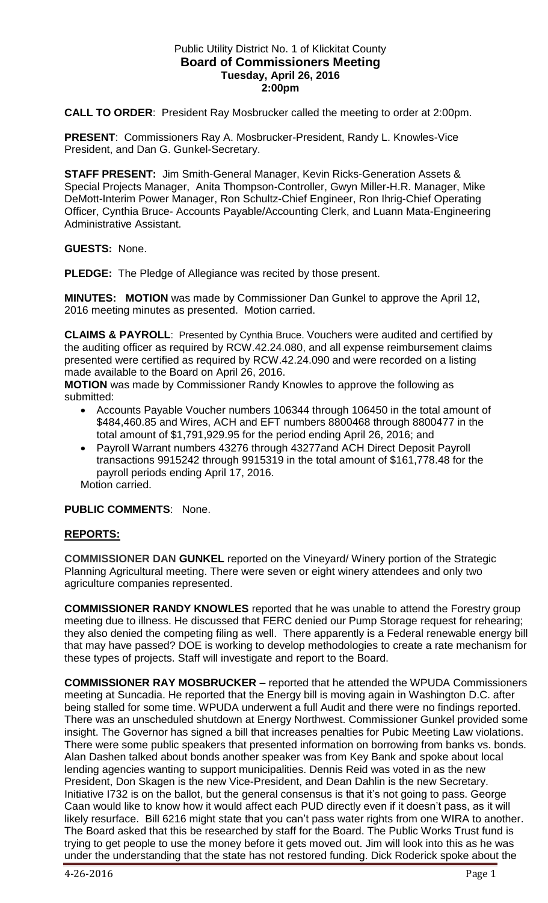### Public Utility District No. 1 of Klickitat County **Board of Commissioners Meeting Tuesday, April 26, 2016 2:00pm**

**CALL TO ORDER**: President Ray Mosbrucker called the meeting to order at 2:00pm.

**PRESENT**: Commissioners Ray A. Mosbrucker-President, Randy L. Knowles-Vice President, and Dan G. Gunkel-Secretary.

**STAFF PRESENT:** Jim Smith-General Manager, Kevin Ricks-Generation Assets & Special Projects Manager, Anita Thompson-Controller, Gwyn Miller-H.R. Manager, Mike DeMott-Interim Power Manager, Ron Schultz-Chief Engineer, Ron Ihrig-Chief Operating Officer, Cynthia Bruce- Accounts Payable/Accounting Clerk, and Luann Mata-Engineering Administrative Assistant.

**GUESTS:** None.

**PLEDGE:** The Pledge of Allegiance was recited by those present.

**MINUTES: MOTION** was made by Commissioner Dan Gunkel to approve the April 12, 2016 meeting minutes as presented. Motion carried.

**CLAIMS & PAYROLL**: Presented by Cynthia Bruce. Vouchers were audited and certified by the auditing officer as required by RCW.42.24.080, and all expense reimbursement claims presented were certified as required by RCW.42.24.090 and were recorded on a listing made available to the Board on April 26, 2016.

**MOTION** was made by Commissioner Randy Knowles to approve the following as submitted:

- Accounts Payable Voucher numbers 106344 through 106450 in the total amount of \$484,460.85 and Wires, ACH and EFT numbers 8800468 through 8800477 in the total amount of \$1,791,929.95 for the period ending April 26, 2016; and
- Payroll Warrant numbers 43276 through 43277and ACH Direct Deposit Payroll transactions 9915242 through 9915319 in the total amount of \$161,778.48 for the payroll periods ending April 17, 2016.

Motion carried.

## **PUBLIC COMMENTS**: None.

## **REPORTS:**

**COMMISSIONER DAN GUNKEL** reported on the Vineyard/ Winery portion of the Strategic Planning Agricultural meeting. There were seven or eight winery attendees and only two agriculture companies represented.

**COMMISSIONER RANDY KNOWLES** reported that he was unable to attend the Forestry group meeting due to illness. He discussed that FERC denied our Pump Storage request for rehearing; they also denied the competing filing as well. There apparently is a Federal renewable energy bill that may have passed? DOE is working to develop methodologies to create a rate mechanism for these types of projects. Staff will investigate and report to the Board.

**COMMISSIONER RAY MOSBRUCKER** – reported that he attended the WPUDA Commissioners meeting at Suncadia. He reported that the Energy bill is moving again in Washington D.C. after being stalled for some time. WPUDA underwent a full Audit and there were no findings reported. There was an unscheduled shutdown at Energy Northwest. Commissioner Gunkel provided some insight. The Governor has signed a bill that increases penalties for Pubic Meeting Law violations. There were some public speakers that presented information on borrowing from banks vs. bonds. Alan Dashen talked about bonds another speaker was from Key Bank and spoke about local lending agencies wanting to support municipalities. Dennis Reid was voted in as the new President, Don Skagen is the new Vice-President, and Dean Dahlin is the new Secretary. Initiative I732 is on the ballot, but the general consensus is that it's not going to pass. George Caan would like to know how it would affect each PUD directly even if it doesn't pass, as it will likely resurface. Bill 6216 might state that you can't pass water rights from one WIRA to another. The Board asked that this be researched by staff for the Board. The Public Works Trust fund is trying to get people to use the money before it gets moved out. Jim will look into this as he was under the understanding that the state has not restored funding. Dick Roderick spoke about the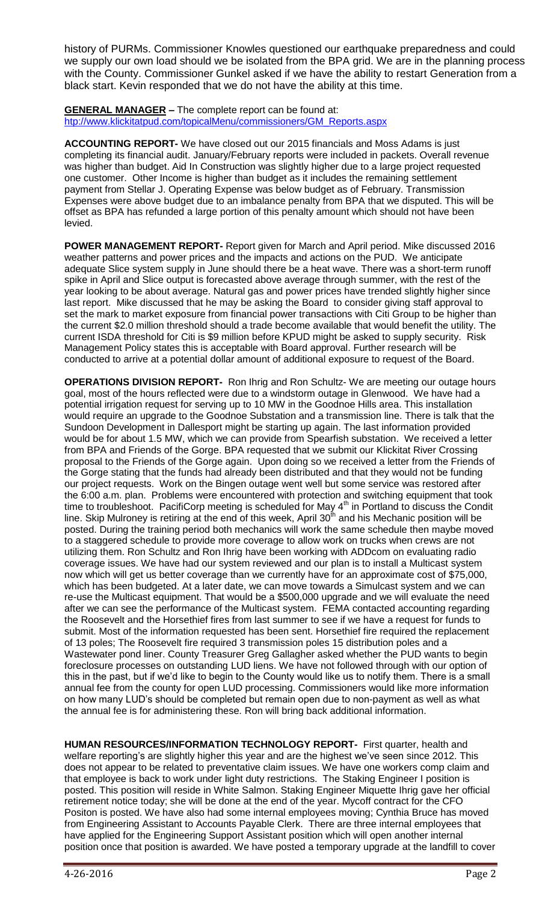history of PURMs. Commissioner Knowles questioned our earthquake preparedness and could we supply our own load should we be isolated from the BPA grid. We are in the planning process with the County. Commissioner Gunkel asked if we have the ability to restart Generation from a black start. Kevin responded that we do not have the ability at this time.

#### **GENERAL MANAGER –** The complete report can be found at: [htp://www.klickitatpud.com/topicalMenu/commissioners/GM\\_Reports.aspx](http://www.klickitatpud.com/topicalMenu/commissioners/GM_Reports.aspx)

**ACCOUNTING REPORT-** We have closed out our 2015 financials and Moss Adams is just completing its financial audit. January/February reports were included in packets. Overall revenue was higher than budget. Aid In Construction was slightly higher due to a large project requested one customer. Other Income is higher than budget as it includes the remaining settlement payment from Stellar J. Operating Expense was below budget as of February. Transmission Expenses were above budget due to an imbalance penalty from BPA that we disputed. This will be offset as BPA has refunded a large portion of this penalty amount which should not have been levied.

**POWER MANAGEMENT REPORT-** Report given for March and April period. Mike discussed 2016 weather patterns and power prices and the impacts and actions on the PUD. We anticipate adequate Slice system supply in June should there be a heat wave. There was a short-term runoff spike in April and Slice output is forecasted above average through summer, with the rest of the year looking to be about average. Natural gas and power prices have trended slightly higher since last report. Mike discussed that he may be asking the Board to consider giving staff approval to set the mark to market exposure from financial power transactions with Citi Group to be higher than the current \$2.0 million threshold should a trade become available that would benefit the utility. The current ISDA threshold for Citi is \$9 million before KPUD might be asked to supply security. Risk Management Policy states this is acceptable with Board approval. Further research will be conducted to arrive at a potential dollar amount of additional exposure to request of the Board.

**OPERATIONS DIVISION REPORT-** Ron Ihrig and Ron Schultz- We are meeting our outage hours goal, most of the hours reflected were due to a windstorm outage in Glenwood. We have had a potential irrigation request for serving up to 10 MW in the Goodnoe Hills area. This installation would require an upgrade to the Goodnoe Substation and a transmission line. There is talk that the Sundoon Development in Dallesport might be starting up again. The last information provided would be for about 1.5 MW, which we can provide from Spearfish substation. We received a letter from BPA and Friends of the Gorge. BPA requested that we submit our Klickitat River Crossing proposal to the Friends of the Gorge again. Upon doing so we received a letter from the Friends of the Gorge stating that the funds had already been distributed and that they would not be funding our project requests. Work on the Bingen outage went well but some service was restored after the 6:00 a.m. plan. Problems were encountered with protection and switching equipment that took time to troubleshoot. PacifiCorp meeting is scheduled for May  $4<sup>th</sup>$  in Portland to discuss the Condit line. Skip Mulroney is retiring at the end of this week, April 30<sup>th</sup> and his Mechanic position will be posted. During the training period both mechanics will work the same schedule then maybe moved to a staggered schedule to provide more coverage to allow work on trucks when crews are not utilizing them. Ron Schultz and Ron Ihrig have been working with ADDcom on evaluating radio coverage issues. We have had our system reviewed and our plan is to install a Multicast system now which will get us better coverage than we currently have for an approximate cost of \$75,000, which has been budgeted. At a later date, we can move towards a Simulcast system and we can re-use the Multicast equipment. That would be a \$500,000 upgrade and we will evaluate the need after we can see the performance of the Multicast system. FEMA contacted accounting regarding the Roosevelt and the Horsethief fires from last summer to see if we have a request for funds to submit. Most of the information requested has been sent. Horsethief fire required the replacement of 13 poles; The Roosevelt fire required 3 transmission poles 15 distribution poles and a Wastewater pond liner. County Treasurer Greg Gallagher asked whether the PUD wants to begin foreclosure processes on outstanding LUD liens. We have not followed through with our option of this in the past, but if we'd like to begin to the County would like us to notify them. There is a small annual fee from the county for open LUD processing. Commissioners would like more information on how many LUD's should be completed but remain open due to non-payment as well as what the annual fee is for administering these. Ron will bring back additional information.

**HUMAN RESOURCES/INFORMATION TECHNOLOGY REPORT-** First quarter, health and welfare reporting's are slightly higher this year and are the highest we've seen since 2012. This does not appear to be related to preventative claim issues. We have one workers comp claim and that employee is back to work under light duty restrictions. The Staking Engineer I position is posted. This position will reside in White Salmon. Staking Engineer Miquette Ihrig gave her official retirement notice today; she will be done at the end of the year. Mycoff contract for the CFO Positon is posted. We have also had some internal employees moving; Cynthia Bruce has moved from Engineering Assistant to Accounts Payable Clerk. There are three internal employees that have applied for the Engineering Support Assistant position which will open another internal position once that position is awarded. We have posted a temporary upgrade at the landfill to cover